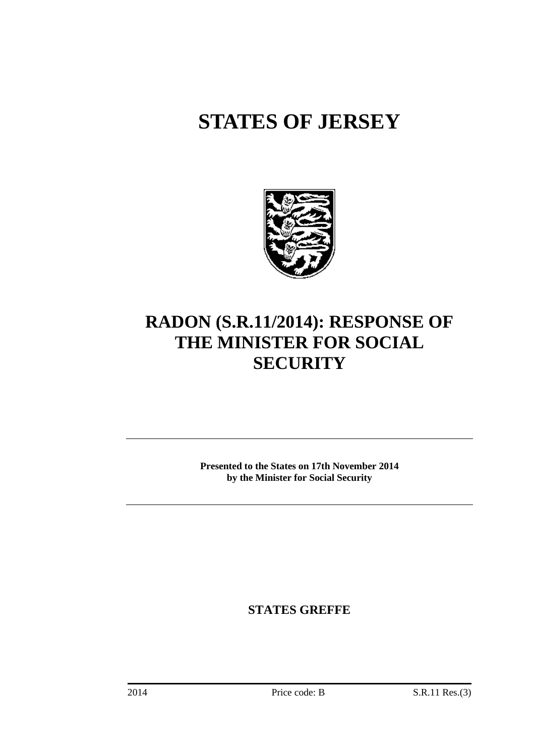# **STATES OF JERSEY**



# **RADON (S.R.11/2014): RESPONSE OF THE MINISTER FOR SOCIAL SECURITY**

**Presented to the States on 17th November 2014 by the Minister for Social Security**

**STATES GREFFE**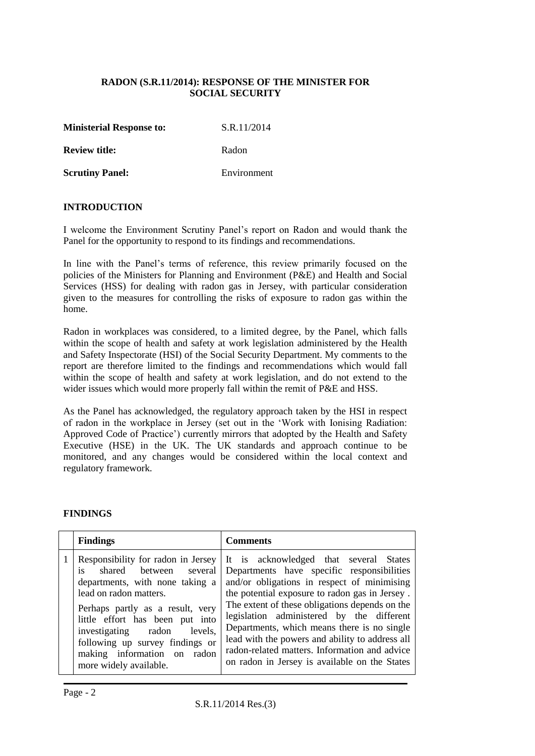### **RADON (S.R.11/2014): RESPONSE OF THE MINISTER FOR SOCIAL SECURITY**

**Ministerial Response to:** S.R.11/2014

**Review title:** Radon

**Scrutiny Panel:** Environment

#### **INTRODUCTION**

I welcome the Environment Scrutiny Panel's report on Radon and would thank the Panel for the opportunity to respond to its findings and recommendations.

In line with the Panel's terms of reference, this review primarily focused on the policies of the Ministers for Planning and Environment (P&E) and Health and Social Services (HSS) for dealing with radon gas in Jersey, with particular consideration given to the measures for controlling the risks of exposure to radon gas within the home.

Radon in workplaces was considered, to a limited degree, by the Panel, which falls within the scope of health and safety at work legislation administered by the Health and Safety Inspectorate (HSI) of the Social Security Department. My comments to the report are therefore limited to the findings and recommendations which would fall within the scope of health and safety at work legislation, and do not extend to the wider issues which would more properly fall within the remit of P&E and HSS.

As the Panel has acknowledged, the regulatory approach taken by the HSI in respect of radon in the workplace in Jersey (set out in the 'Work with Ionising Radiation: Approved Code of Practice') currently mirrors that adopted by the Health and Safety Executive (HSE) in the UK. The UK standards and approach continue to be monitored, and any changes would be considered within the local context and regulatory framework.

#### **FINDINGS**

| <b>Findings</b>                                                                                                                                                                                                                                                                                                                      | <b>Comments</b>                                                                                                                                                                                                                                                                                                                                                                                                                                                                          |  |  |
|--------------------------------------------------------------------------------------------------------------------------------------------------------------------------------------------------------------------------------------------------------------------------------------------------------------------------------------|------------------------------------------------------------------------------------------------------------------------------------------------------------------------------------------------------------------------------------------------------------------------------------------------------------------------------------------------------------------------------------------------------------------------------------------------------------------------------------------|--|--|
| Responsibility for radon in Jersey<br>is<br>shared between several<br>departments, with none taking a<br>lead on radon matters.<br>Perhaps partly as a result, very<br>little effort has been put into<br>investigating radon<br>levels,<br>following up survey findings or<br>making information on radon<br>more widely available. | It is acknowledged that several States<br>Departments have specific responsibilities<br>and/or obligations in respect of minimising<br>the potential exposure to radon gas in Jersey.<br>The extent of these obligations depends on the<br>legislation administered by the different<br>Departments, which means there is no single<br>lead with the powers and ability to address all<br>radon-related matters. Information and advice<br>on radon in Jersey is available on the States |  |  |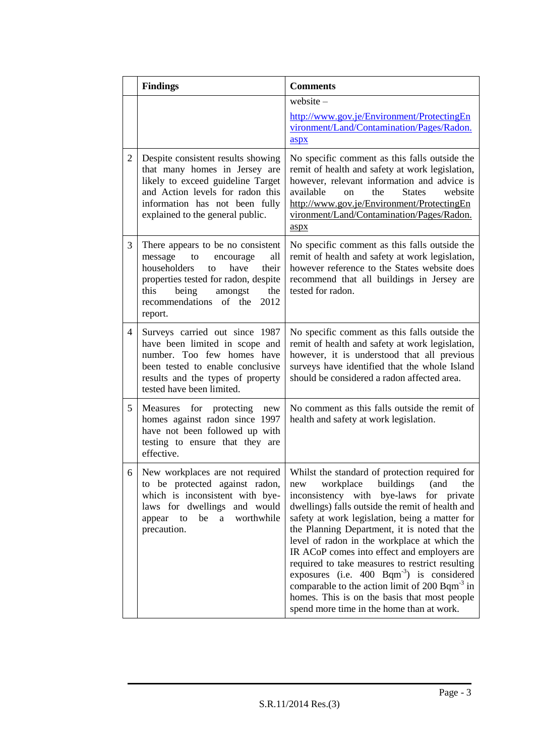|   | <b>Comments</b>                                                                                                                                                                                                                       |                                                                                                                                                                                                                                                                                                                                                                                                                                                                                                                                                                                                                                                                               |
|---|---------------------------------------------------------------------------------------------------------------------------------------------------------------------------------------------------------------------------------------|-------------------------------------------------------------------------------------------------------------------------------------------------------------------------------------------------------------------------------------------------------------------------------------------------------------------------------------------------------------------------------------------------------------------------------------------------------------------------------------------------------------------------------------------------------------------------------------------------------------------------------------------------------------------------------|
|   |                                                                                                                                                                                                                                       | website $-$<br>http://www.gov.je/Environment/ProtectingEn<br>vironment/Land/Contamination/Pages/Radon.<br>aspx                                                                                                                                                                                                                                                                                                                                                                                                                                                                                                                                                                |
| 2 | Despite consistent results showing<br>that many homes in Jersey are<br>likely to exceed guideline Target<br>and Action levels for radon this<br>information has not been fully<br>explained to the general public.                    | No specific comment as this falls outside the<br>remit of health and safety at work legislation,<br>however, relevant information and advice is<br>the<br>available<br><b>States</b><br>website<br>on<br>http://www.gov.je/Environment/ProtectingEn<br>vironment/Land/Contamination/Pages/Radon.<br>aspx                                                                                                                                                                                                                                                                                                                                                                      |
| 3 | There appears to be no consistent<br>message<br>to<br>encourage<br>all<br>householders<br>have<br>their<br>to<br>properties tested for radon, despite<br>this<br>being<br>the<br>amongst<br>recommendations of the<br>2012<br>report. | No specific comment as this falls outside the<br>remit of health and safety at work legislation,<br>however reference to the States website does<br>recommend that all buildings in Jersey are<br>tested for radon.                                                                                                                                                                                                                                                                                                                                                                                                                                                           |
| 4 | Surveys carried out since 1987<br>have been limited in scope and<br>number. Too few homes have<br>been tested to enable conclusive<br>results and the types of property<br>tested have been limited.                                  | No specific comment as this falls outside the<br>remit of health and safety at work legislation,<br>however, it is understood that all previous<br>surveys have identified that the whole Island<br>should be considered a radon affected area.                                                                                                                                                                                                                                                                                                                                                                                                                               |
| 5 | Measures for protecting<br>new<br>homes against radon since 1997<br>have not been followed up with<br>testing to ensure that they are<br>effective.                                                                                   | No comment as this falls outside the remit of<br>health and safety at work legislation.                                                                                                                                                                                                                                                                                                                                                                                                                                                                                                                                                                                       |
| 6 | New workplaces are not required<br>to be protected against radon,<br>which is inconsistent with bye-<br>laws for dwellings and would<br>be<br>a worthwhile<br>appear<br>to<br>precaution.                                             | Whilst the standard of protection required for<br>workplace<br>buildings<br>(and<br>the<br>new<br>inconsistency with bye-laws<br>for private<br>dwellings) falls outside the remit of health and<br>safety at work legislation, being a matter for<br>the Planning Department, it is noted that the<br>level of radon in the workplace at which the<br>IR ACoP comes into effect and employers are<br>required to take measures to restrict resulting<br>exposures (i.e. $400$ Bqm <sup>-3</sup> ) is considered<br>comparable to the action limit of $200$ Bqm <sup>-3</sup> in<br>homes. This is on the basis that most people<br>spend more time in the home than at work. |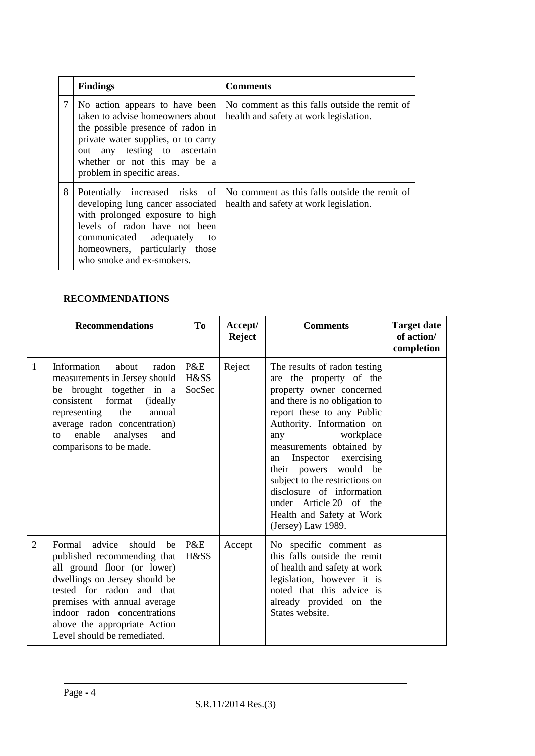|   | <b>Findings</b>                                                                                                                                                                                                                              | <b>Comments</b>                                                                         |
|---|----------------------------------------------------------------------------------------------------------------------------------------------------------------------------------------------------------------------------------------------|-----------------------------------------------------------------------------------------|
| 7 | No action appears to have been<br>taken to advise homeowners about<br>the possible presence of radon in<br>private water supplies, or to carry<br>out any testing to ascertain<br>whether or not this may be a<br>problem in specific areas. | No comment as this falls outside the remit of<br>health and safety at work legislation. |
| 8 | Potentially increased risks of<br>developing lung cancer associated<br>with prolonged exposure to high<br>levels of radon have not been<br>communicated adequately<br>to<br>homeowners, particularly those<br>who smoke and ex-smokers.      | No comment as this falls outside the remit of<br>health and safety at work legislation. |

# **RECOMMENDATIONS**

|              | <b>Recommendations</b>                                                                                                                                                                                                                                                                     | To                    | Accept/<br><b>Reject</b> | <b>Comments</b>                                                                                                                                                                                                                                                                                                                                                                                                                        | <b>Target date</b><br>of action/<br>completion |
|--------------|--------------------------------------------------------------------------------------------------------------------------------------------------------------------------------------------------------------------------------------------------------------------------------------------|-----------------------|--------------------------|----------------------------------------------------------------------------------------------------------------------------------------------------------------------------------------------------------------------------------------------------------------------------------------------------------------------------------------------------------------------------------------------------------------------------------------|------------------------------------------------|
| $\mathbf{1}$ | Information<br>about<br>radon<br>measurements in Jersey should<br>be brought together in a<br>consistent<br>format<br><i>(ideally)</i><br>the<br>representing<br>annual<br>average radon concentration)<br>enable<br>analyses<br>and<br>to<br>comparisons to be made.                      | P&E<br>H&SS<br>SocSec | Reject                   | The results of radon testing<br>are the property of the<br>property owner concerned<br>and there is no obligation to<br>report these to any Public<br>Authority. Information on<br>workplace<br>any<br>measurements obtained by<br>Inspector<br>exercising<br>an<br>their powers would be<br>subject to the restrictions on<br>disclosure of information<br>under Article 20 of the<br>Health and Safety at Work<br>(Jersey) Law 1989. |                                                |
| 2            | advice<br>should<br>Formal<br>be<br>published recommending that<br>all ground floor (or lower)<br>dwellings on Jersey should be<br>tested for radon and that<br>premises with annual average<br>indoor radon concentrations<br>above the appropriate Action<br>Level should be remediated. | P&E<br>H&SS           | Accept                   | No specific comment as<br>this falls outside the remit<br>of health and safety at work<br>legislation, however it is<br>noted that this advice is<br>already provided on the<br>States website.                                                                                                                                                                                                                                        |                                                |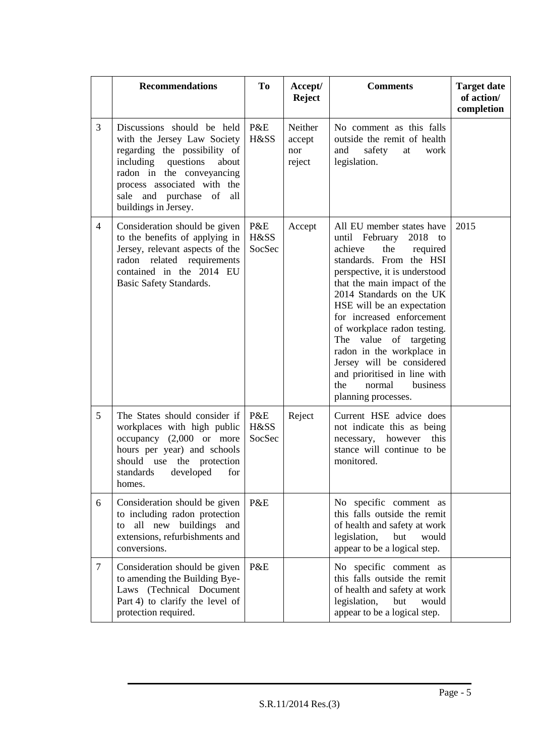|                | <b>Recommendations</b>                                                                                                                                                                                                                          | <b>To</b>             | Accept/<br><b>Reject</b>           | <b>Comments</b>                                                                                                                                                                                                                                                                                                                                                                                                                                                                  | <b>Target date</b><br>of action/<br>completion |
|----------------|-------------------------------------------------------------------------------------------------------------------------------------------------------------------------------------------------------------------------------------------------|-----------------------|------------------------------------|----------------------------------------------------------------------------------------------------------------------------------------------------------------------------------------------------------------------------------------------------------------------------------------------------------------------------------------------------------------------------------------------------------------------------------------------------------------------------------|------------------------------------------------|
| 3              | Discussions should be held<br>with the Jersey Law Society<br>regarding the possibility of<br>questions<br>including<br>about<br>radon in the conveyancing<br>process associated with the<br>sale and purchase of<br>all<br>buildings in Jersey. | P&E<br>H&SS           | Neither<br>accept<br>nor<br>reject | No comment as this falls<br>outside the remit of health<br>and<br>safety<br>work<br>at<br>legislation.                                                                                                                                                                                                                                                                                                                                                                           |                                                |
| $\overline{4}$ | Consideration should be given<br>to the benefits of applying in<br>Jersey, relevant aspects of the<br>radon related requirements<br>contained in the 2014 EU<br>Basic Safety Standards.                                                         | P&E<br>H&SS<br>SocSec | Accept                             | All EU member states have<br>until February<br>2018 to<br>achieve<br>the<br>required<br>standards. From the HSI<br>perspective, it is understood<br>that the main impact of the<br>2014 Standards on the UK<br>HSE will be an expectation<br>for increased enforcement<br>of workplace radon testing.<br>The value<br>of targeting<br>radon in the workplace in<br>Jersey will be considered<br>and prioritised in line with<br>the<br>normal<br>business<br>planning processes. | 2015                                           |
| 5              | The States should consider if<br>workplaces with high public<br>occupancy $(2,000)$ or more<br>hours per year) and schools<br>should use the protection<br>developed<br>for<br>standards<br>homes.                                              | P&E<br>H&SS<br>SocSec | Reject                             | Current HSE advice does<br>not indicate this as being<br>necessary, however<br>this<br>stance will continue to be<br>monitored.                                                                                                                                                                                                                                                                                                                                                  |                                                |
| 6              | Consideration should be given<br>to including radon protection<br>all new buildings and<br>to<br>extensions, refurbishments and<br>conversions.                                                                                                 | P&E                   |                                    | No specific comment as<br>this falls outside the remit<br>of health and safety at work<br>legislation,<br>but<br>would<br>appear to be a logical step.                                                                                                                                                                                                                                                                                                                           |                                                |
| $\tau$         | Consideration should be given<br>to amending the Building Bye-<br>Laws (Technical Document<br>Part 4) to clarify the level of<br>protection required.                                                                                           | P&E                   |                                    | No specific comment as<br>this falls outside the remit<br>of health and safety at work<br>legislation,<br>but<br>would<br>appear to be a logical step.                                                                                                                                                                                                                                                                                                                           |                                                |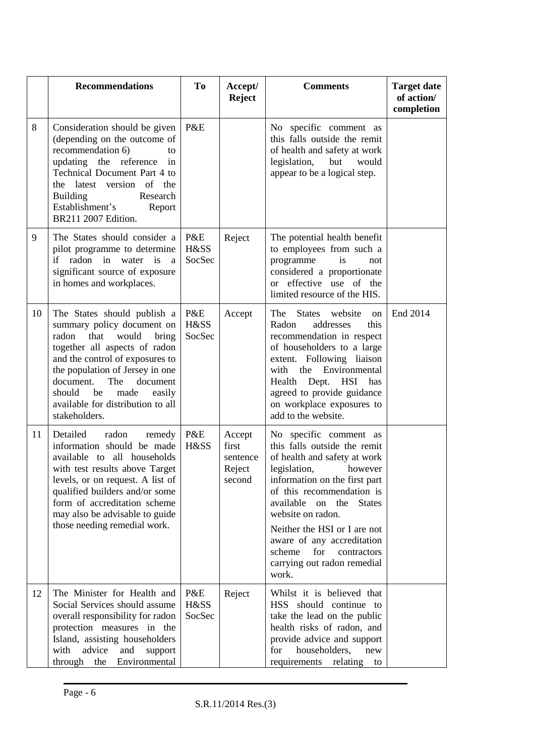|    | <b>Recommendations</b>                                                                                                                                                                                                                                                                                                      | To                    | Accept/<br><b>Reject</b>                        | <b>Comments</b>                                                                                                                                                                                                                                                                                                                                                                       | <b>Target date</b><br>of action/<br>completion |
|----|-----------------------------------------------------------------------------------------------------------------------------------------------------------------------------------------------------------------------------------------------------------------------------------------------------------------------------|-----------------------|-------------------------------------------------|---------------------------------------------------------------------------------------------------------------------------------------------------------------------------------------------------------------------------------------------------------------------------------------------------------------------------------------------------------------------------------------|------------------------------------------------|
| 8  | Consideration should be given<br>(depending on the outcome of<br>recommendation 6)<br>to<br>updating the reference<br>in<br>Technical Document Part 4 to<br>latest version of the<br>the<br><b>Building</b><br>Research<br>Establishment's<br>Report<br>BR211 2007 Edition.                                                 | P&E                   |                                                 | No specific comment as<br>this falls outside the remit<br>of health and safety at work<br>legislation,<br>would<br>but<br>appear to be a logical step.                                                                                                                                                                                                                                |                                                |
| 9  | The States should consider a<br>pilot programme to determine<br>if<br>radon<br>in<br>water is<br>a<br>significant source of exposure<br>in homes and workplaces.                                                                                                                                                            | P&E<br>H&SS<br>SocSec | Reject                                          | The potential health benefit<br>to employees from such a<br>programme<br>is<br>not<br>considered a proportionate<br>or effective use of the<br>limited resource of the HIS.                                                                                                                                                                                                           |                                                |
| 10 | The States should publish a<br>summary policy document on<br>radon<br>that<br>would<br>bring<br>together all aspects of radon<br>and the control of exposures to<br>the population of Jersey in one<br>document.<br>The<br>document<br>should<br>be<br>made<br>easily<br>available for distribution to all<br>stakeholders. | P&E<br>H&SS<br>SocSec | Accept                                          | The<br><b>States</b><br>website<br><sub>on</sub><br>Radon<br>addresses<br>this<br>recommendation in respect<br>of householders to a large<br>extent. Following liaison<br>with the Environmental<br>Health Dept. HSI<br>has<br>agreed to provide guidance<br>on workplace exposures to<br>add to the website.                                                                         | End 2014                                       |
| 11 | Detailed<br>radon<br>remedy<br>information should be made<br>available to all households<br>with test results above Target<br>levels, or on request. A list of<br>qualified builders and/or some<br>form of accreditation scheme<br>may also be advisable to guide<br>those needing remedial work.                          | P&E<br>H&SS           | Accept<br>first<br>sentence<br>Reject<br>second | No specific comment as<br>this falls outside the remit<br>of health and safety at work<br>legislation,<br>however<br>information on the first part<br>of this recommendation is<br>available<br>on<br>the<br><b>States</b><br>website on radon.<br>Neither the HSI or I are not<br>aware of any accreditation<br>scheme<br>for<br>contractors<br>carrying out radon remedial<br>work. |                                                |
| 12 | The Minister for Health and<br>Social Services should assume<br>overall responsibility for radon<br>protection measures in the<br>Island, assisting householders<br>advice<br>and<br>with<br>support<br>through<br>the<br>Environmental                                                                                     | P&E<br>H&SS<br>SocSec | Reject                                          | Whilst it is believed that<br>HSS should continue to<br>take the lead on the public<br>health risks of radon, and<br>provide advice and support<br>householders,<br>for<br>new<br>requirements<br>relating<br>to                                                                                                                                                                      |                                                |